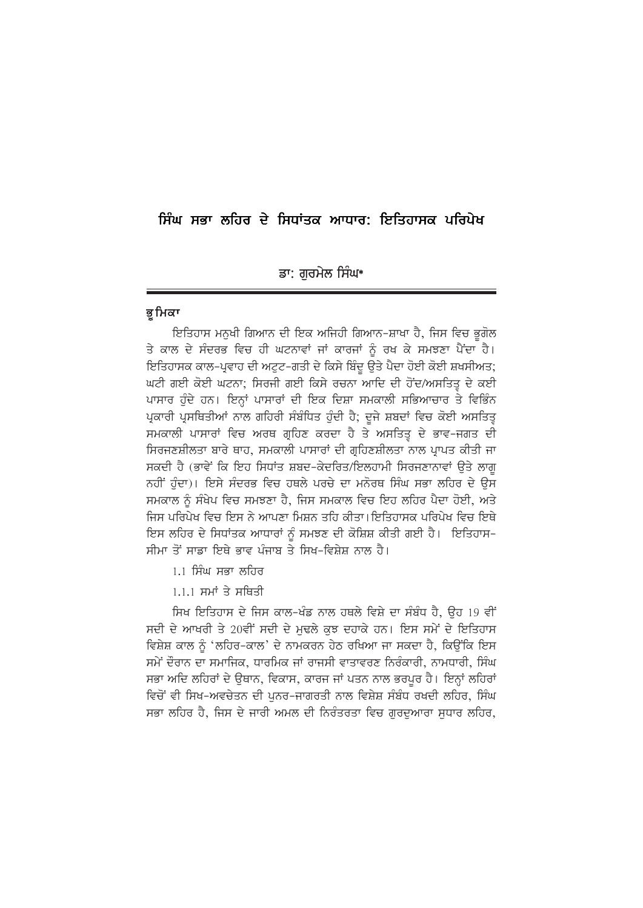# ਸਿੰਘ ਸਭਾ ਲਹਿਰ ਦੇ ਸਿਧਾਂਤਕ ਆਧਾਰ: ਇਤਿਹਾਸਕ ਪਰਿਪੇਖ

### ਡਾ: ਗਰਮੇਲ ਸਿੰਘ\*

#### ਭ ਮਿਕਾ

ਇਤਿਹਾਸ ਮਨਖੀ ਗਿਆਨ ਦੀ ਇਕ ਅਜਿਹੀ ਗਿਆਨ-ਸ਼ਾਖਾ ਹੈ, ਜਿਸ ਵਿਚ ਭਗੋਲ ਤੇ ਕਾਲ ਦੇ ਸੰਦਰਭ ਵਿਚ ਹੀ ਘਟਨਾਵਾਂ ਜਾਂ ਕਾਰਜਾਂ ਨੂੰ ਰਖ ਕੇ ਸਮਝਣਾ ਪੈਂਦਾ ਹੈ। ਇਤਿਹਾਸਕ ਕਾਲ-ਪ੍ਰਵਾਹ ਦੀ ਅਟੁਟ-ਗਤੀ ਦੇ ਕਿਸੇ ਬਿੰਦੂ ਉਤੇ ਪੈਦਾ ਹੋਈ ਕੋਈ ਸ਼ਖਸੀਅਤ; ਘਟੀ ਗਈ ਕੋਈ ਘਟਨਾ; ਸਿਰਜੀ ਗਈ ਕਿਸੇ ਰਚਨਾ ਆਦਿ ਦੀ ਹੋਂਦ/ਅਸਤਿਤ੍ਰ ਦੇ ਕਈ ਪਾਸਾਰ ਹੁੰਦੇ ਹਨ। ਇਨ੍ਹਾਂ ਪਾਸਾਰਾਂ ਦੀ ਇਕ ਦਿਸ਼ਾ ਸਮਕਾਲੀ ਸਭਿਆਚਾਰ ਤੇ ਵਿਭਿੰਨ ਪ੍ਰਕਾਰੀ ਪ੍ਰਸਥਿਤੀਆਂ ਨਾਲ ਗਹਿਰੀ ਸੰਬੰਧਿਤ ਹੁੰਦੀ ਹੈ; ਦੂਜੇ ਸ਼ਬਦਾਂ ਵਿਚ ਕੋਈ ਅਸਤਿਤੂ ਸਮਕਾਲੀ ਪਾਸਾਰਾਂ ਵਿਚ ਅਰਥ ਗੁਹਿਣ ਕਰਦਾ ਹੈ ਤੇ ਅਸਤਿਤੁ ਦੇ ਭਾਵ-ਜਗਤ ਦੀ ਸਿਰਜਣਸ਼ੀਲਤਾ ਬਾਰੇ ਥਾਹ, ਸਮਕਾਲੀ ਪਾਸਾਰਾਂ ਦੀ ਗਹਿਣਸ਼ੀਲਤਾ ਨਾਲ ਪਾਪਤ ਕੀਤੀ ਜਾ ਸਕਦੀ ਹੈ (ਭਾਵੇਂ ਕਿ ਇਹ ਸਿਧਾਂਤ ਸ਼ਬਦ-ਕੇਦਰਿਤ/ਇਲਹਾਮੀ ਸਿਰਜਣਾਨਾਵਾਂ ੳਤੇ ਲਾਗ ਨਹੀਂ ਹੁੰਦਾ)। ਇਸੇ ਸੰਦਰਭ ਵਿਚ ਹਥਲੇ ਪਰਚੇ ਦਾ ਮਨੋਰਥ ਸਿੰਘ ਸਭਾ ਲਹਿਰ ਦੇ ਉਸ ਸਮਕਾਲ ਨੂੰ ਸੰਖੇਪ ਵਿਚ ਸਮਝਣਾ ਹੈ, ਜਿਸ ਸਮਕਾਲ ਵਿਚ ਇਹ ਲਹਿਰ ਪੈਦਾ ਹੋਈ, ਅਤੇ ਜਿਸ ਪਰਿਪੇਖ ਵਿਚ ਇਸ ਨੇ ਆਪਣਾ ਮਿਸ਼ਨ ਤਹਿ ਕੀਤਾ। ਇਤਿਹਾਸਕ ਪਰਿਪੇਖ ਵਿਚ ਇਥੇ ਇਸ ਲਹਿਰ ਦੇ ਸਿਧਾਂਤਕ ਆਧਾਰਾਂ ਨੰ ਸਮਝਣ ਦੀ ਕੋਸ਼ਿਸ਼ ਕੀਤੀ ਗਈ ਹੈ। ਇਤਿਹਾਸ-ਸੀਮਾ ਤੋਂ ਸਾਡਾ ਇਥੇ ਕਾਵ ਪੰਜਾਬ ਤੇ ਸਿਖ-ਵਿਸ਼ੇਸ਼ ਨਾਲ ਹੈ।

- 1.1 ਸਿੰਘ ਸਕਾ ਲਹਿਰ
- $1.1.1$  ਸਮਾਂ ਤੇ ਸਥਿਤੀ

ਸਿਖ ਇਤਿਹਾਸ ਦੇ ਜਿਸ ਕਾਲ-ਖੰਡ ਨਾਲ ਹਥਲੇ ਵਿਸ਼ੇ ਦਾ ਸੰਬੰਧ ਹੈ, ਉਹ 19 ਵੀਂ ਸਦੀ ਦੇ ਆਖਰੀ ਤੇ 20ਵੀਂ ਸਦੀ ਦੇ ਮਢਲੇ ਕੁਝ ਦਹਾਕੇ ਹਨ। ਇਸ ਸਮੇਂ ਦੇ ਇਤਿਹਾਸ ਵਿਸ਼ੇਸ਼ ਕਾਲ ਨੰ 'ਲਹਿਰ-ਕਾਲ' ਦੇ ਨਾਮਕਰਨ ਹੇਠ ਰਖਿਆ ਜਾ ਸਕਦਾ ਹੈ, ਕਿਉਂਕਿ ਇਸ ਸਮੇਂ ਦੌਰਾਨ ਦਾ ਸਮਾਜਿਕ, ਧਾਰਮਿਕ ਜਾਂ ਰਾਜਸੀ ਵਾਤਾਵਰਣ ਨਿਰੰਕਾਰੀ, ਨਾਮਧਾਰੀ, ਸਿੰਘ ਸਭਾ ਅਦਿ ਲਹਿਰਾਂ ਦੇ ਉਥਾਨ, ਵਿਕਾਸ, ਕਾਰਜ ਜਾਂ ਪਤਨ ਨਾਲ ਭਰਪਰ ਹੈ। ਇਨਾਂ ਲਹਿਰਾਂ ਵਿਚੋਂ ਵੀ ਸਿਖ-ਅਵਚੇਤਨ ਦੀ ਪਨਰ-ਜਾਗਰਤੀ ਨਾਲ ਵਿਸ਼ੇਸ਼ ਸੰਬੰਧ ਰਖਦੀ ਲਹਿਰ, ਸਿੰਘ ਸਭਾ ਲਹਿਰ ਹੈ. ਜਿਸ ਦੇ ਜਾਰੀ ਅਮਲ ਦੀ ਨਿਰੰਤਰਤਾ ਵਿਚ ਗਰਦਆਰਾ ਸਧਾਰ ਲਹਿਰ.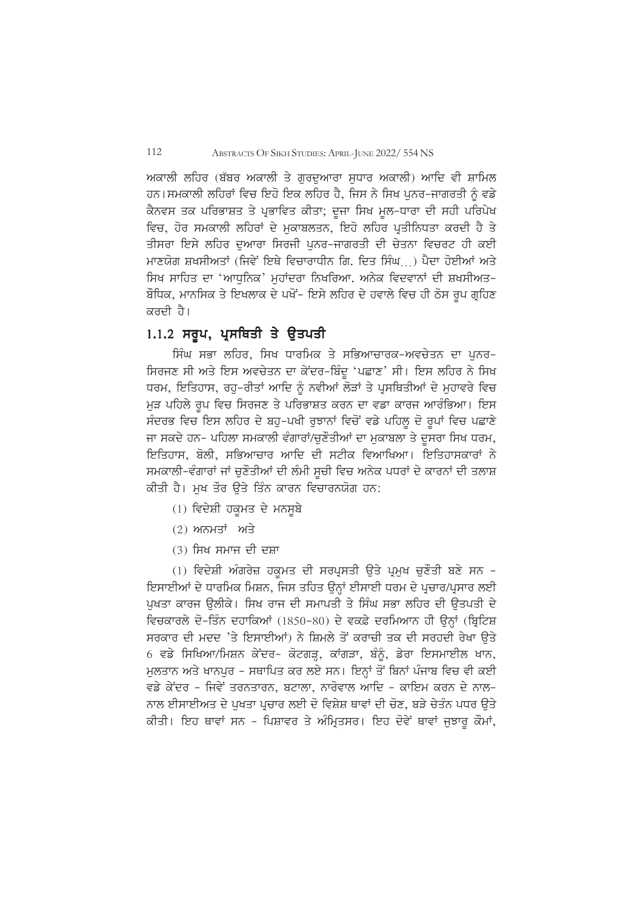ਅਕਾਲੀ ਲਹਿਰ (ਬੱਬਰ ਅਕਾਲੀ ਤੇ ਗਰਦਆਰਾ ਸਧਾਰ ਅਕਾਲੀ) ਆਦਿ ਵੀ ਸ਼ਾਮਿਲ ਹਨ।ਸਮਕਾਲੀ ਲਹਿਰਾਂ ਵਿਚ ਇਹੋ ਇਕ ਲਹਿਰ ਹੈ, ਜਿਸ ਨੇ ਸਿਖ ਪਨਰ-ਜਾਗਰਤੀ ਨੂੰ ਵਡੇ ਕੈਨਵਸ ਤਕ ਪਰਿਭਾਸ਼ਤ ਤੇ ਪ੍ਰਭਾਵਿਤ ਕੀਤਾ; ਦਜਾ ਸਿਖ ਮਲ-ਧਾਰਾ ਦੀ ਸਹੀ ਪਰਿਪੇਖ ਵਿਚ, ਹੋਰ ਸਮਕਾਲੀ ਲਹਿਰਾਂ ਦੇ ਮਕਾਬਲਤਨ, ਇਹੋ ਲਹਿਰ ਪ੍ਰਤੀਨਿਧਤਾ ਕਰਦੀ ਹੈ ਤੇ ਤੀਸਰਾ ਇਸੇ ਲਹਿਰ ਦੁਆਰਾ ਸਿਰਜੀ ਪਨਰ-ਜਾਗਰਤੀ ਦੀ ਚੇਤਨਾ ਵਿਚਰਟ ਹੀ ਕਈ ਮਾਣਯੋਗ ਸ਼ਖਸੀਅਤਾਂ (ਜਿਵੇਂ ਇਥੇ ਵਿਚਾਰਾਧੀਨ ਗਿ. ਦਿਤ ਸਿੰਘ  $\rightarrow$  ਪੈਦਾ ਹੋਈਆਂ ਅਤੇ ਸਿਖ ਸਾਹਿਤ ਦਾ 'ਆਧਨਿਕ' ਮਹਾਂਦਰਾ ਨਿਖਰਿਆ. ਅਨੇਕ ਵਿਦਵਾਨਾਂ ਦੀ ਸ਼ਖਸੀਅਤ-ਬੌਧਿਕ, ਮਾਨਸਿਕ ਤੇ ਇਖਲਾਕ ਦੇ ਪਖੋਂ- ਇਸੇ ਲਹਿਰ ਦੇ ਹਵਾਲੇ ਵਿਚ ਹੀ ਠੋਸ ਰੂਪ ਗਹਿਣ ਕਰਦੀ ਹੈ।

## $1.1.2$  ਸਰੂਪ, ਪ੍ਰਸਥਿਤੀ ਤੇ ਉਤਪਤੀ

ਸਿੰਘ ਸਭਾ ਲਹਿਰ, ਸਿਖ ਧਾਰਮਿਕ ਤੇ ਸਭਿਆਚਾਰਕ-ਅਵਚੇਤਨ ਦਾ ਪਨਰ-ਸਿਰਜਣ ਸੀ ਅਤੇ ਇਸ ਅਵਚੇਤਨ ਦਾ ਕੇਂਦਰ-ਬਿੰਦ 'ਪਛਾਣ' ਸੀ। ਇਸ ਲਹਿਰ ਨੇ ਸਿਖ ਧਰਮ, ਇਤਿਹਾਸ, ਰਹ-ਰੀਤਾਂ ਆਦਿ ਨੂੰ ਨਵੀਆਂ ਲੌੜਾਂ ਤੇ ਪੁਸਥਿਤੀਆਂ ਦੇ ਮਹਾਵਰੇ ਵਿਚ ਮੜ ਪਹਿਲੇ ਰਪ ਵਿਚ ਸਿਰਜਣ ਤੇ ਪਰਿਭਾਸ਼ਤ ਕਰਨ ਦਾ ਵਡਾ ਕਾਰਜ ਆਰੰਭਿਆ। ਇਸ ਸੰਦਰਭ ਵਿਚ ਇਸ ਲਹਿਰ ਦੇ ਬਹ-ਪਖੀ ਰਝਾਨਾਂ ਵਿਚੋਂ ਵਡੇ ਪਹਿਲ ਦੋ ਰਪਾਂ ਵਿਚ ਪਛਾਣੇ ਜਾ ਸਕਦੇ ਹਨ- ਪਹਿਲਾ ਸਮਕਾਲੀ ਵੰਗਾਰਾਂ/ਚੁਣੌਤੀਆਂ ਦਾ ਮੁਕਾਬਲਾ ਤੇ ਦੂਸਰਾ ਸਿਖ ਧਰਮ, ਇਤਿਹਾਸ, ਬੋਲੀ, ਸਭਿਆਚਾਰ ਆਦਿ ਦੀ ਸਟੀਕ ਵਿਆਖਿਆ। ਇਤਿਹਾਸਕਾਰਾਂ ਨੇ ਸਮਕਾਲੀ-ਵੰਗਾਰਾਂ ਜਾਂ ਚਣੌਤੀਆਂ ਦੀ ਲੰਮੀ ਸਚੀ ਵਿਚ ਅਨੇਕ ਪਧਰਾਂ ਦੇ ਕਾਰਨਾਂ ਦੀ ਤਲਾਸ਼ ਕੀਤੀ ਹੈ। ਮਖ ਤੌਰ ੳਤੇ ਤਿੰਨ ਕਾਰਨ ਵਿਚਾਰਨਯੋਗ ਹਨ:

- $(1)$  ਵਿਦੇਸ਼ੀ ਹਕਮਤ ਦੇ ਮਨਸਬੇ
- $(2)$  ਅਨਮਤਾਂ ਅਤੇ
- $(3)$  ਸਿਖ ਸਮਾਜ ਦੀ ਦਸ਼ਾ

(1) ਵਿਦੇਸ਼ੀ ਅੰਗਰੇਜ਼ ਹਕਮਤ ਦੀ ਸਰਪਸਤੀ ਉਤੇ ਪਮਖ ਚਣੌਤੀ ਬਣੇ ਸਨ -ਇਸਾਈਆਂ ਦੇ ਧਾਰਮਿਕ ਮਿਸ਼ਨ, ਜਿਸ ਤਹਿਤ ੳਨਾਂ ਈਸਾਈ ਧਰਮ ਦੇ ਪਚਾਰ/ਪਸਾਰ ਲਈ ਪਖਤਾ ਕਾਰਜ ੳਲੀਕੇ। ਸਿਖ ਰਾਜ ਦੀ ਸਮਾਪਤੀ ਤੇ ਸਿੰਘ ਸਭਾ ਲਹਿਰ ਦੀ ੳਤਪਤੀ ਦੇ ਵਿਚਕਾਰਲੇ ਦੋ-ਤਿੰਨ ਦਹਾਕਿਆਂ (1850-80) ਦੇ ਵਕਫ਼ੇ ਦਰਮਿਆਨ ਹੀ ਉਨਾਂ (ਬਿਟਿਸ਼ ਸਰਕਾਰ ਦੀ ਮਦਦ 'ਤੇ ਇਸਾਈਆਂ) ਨੇ ਸ਼ਿਮਲੇ ਤੋਂ ਕਰਾਚੀ ਤਕ ਦੀ ਸਰਹਦੀ ਰੇਖਾ ਉਤੇ 6 ਵਡੇ ਸਿਖਿਆ/ਮਿਸ਼ਨ ਕੇਂਦਰ- ਕੋਟਗੜ੍ਹ, ਕਾਂਗੜਾ, ਬੰਨੂੰ, ਡੇਰਾ ਇਸਮਾਈਲ ਖਾਨ, ਮਲਤਾਨ ਅਤੇ ਖਾਨਪਰ - ਸਥਾਪਿਤ ਕਰ ਲਏ ਸਨ। ਇਨਾਂ ਤੋਂ ਬਿਨਾਂ ਪੰਜਾਬ ਵਿਚ ਵੀ ਕਈ ਵਡੇ ਕੇਂਦਰ - ਜਿਵੇਂ ਤਰਨਤਾਰਨ, ਬਟਾਲਾ, ਨਾਰੋਵਾਲ ਆਦਿ - ਕਾਇਮ ਕਰਨ ਦੇ ਨਾਲ-ਨਾਲ ਈਸਾਈਅਤ ਦੇ ਪਖਤਾ ਪਚਾਰ ਲਈ ਦੋ ਵਿਸ਼ੇਸ਼ ਥਾਵਾਂ ਦੀ ਚੋਣ. ਬੜੇ ਚੇਤੰਨ ਪਧਰ ੳਤੇ ਕੀਤੀ। ਇਹ ਥਾਵਾਂ ਸਨ - ਪਿਸ਼ਾਵਰ ਤੇ ਅੰਮ੍ਰਿਤਸਰ। ਇਹ ਦੋਵੇਂ ਥਾਵਾਂ ਜੁਝਾਰੂ ਕੌਮਾਂ,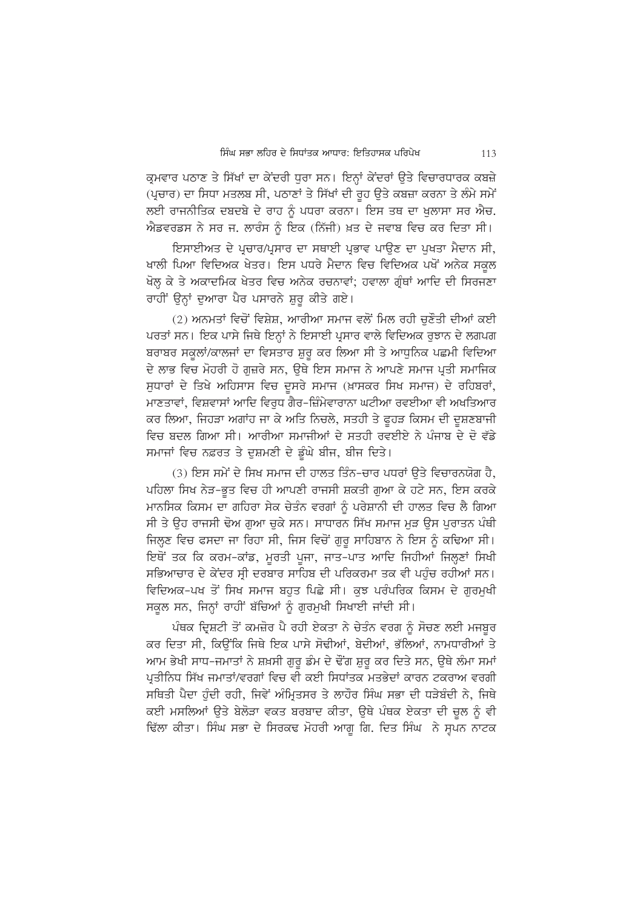ਕਮਵਾਰ ਪਠਾਣ ਤੇ ਸਿੱਖਾਂ ਦਾ ਕੇਂਦਰੀ ਧਰਾ ਸਨ। ਇਨਾਂ ਕੇਂਦਰਾਂ ਉਤੇ ਵਿਚਾਰਧਾਰਕ ਕਬਜ਼ੇ (ਪੁਚਾਰ) ਦਾ ਸਿਧਾ ਮਤਲਬ ਸੀ, ਪਠਾਣਾਂ ਤੇ ਸਿੱਖਾਂ ਦੀ ਰਹ ਉਤੇ ਕਬਜ਼ਾ ਕਰਨਾ ਤੇ ਲੰਮੇ ਸਮੇਂ ਲਈ ਰਾਜਨੀਤਿਕ ਦਬਦਬੇ ਦੇ ਰਾਹ ਨੂੰ ਪਧਰਾ ਕਰਨਾ। ਇਸ ਤਥ ਦਾ ਖਲਾਸਾ ਸਰ ਐਚ. ਐਡਵਰਡਸ ਨੇ ਸਰ ਜ. ਲਾਰੰਸ ਨੂੰ ਇਕ (ਨਿੱਜੀ) ਖ਼ਤ ਦੇ ਜਵਾਬ ਵਿਚ ਕਰ ਦਿਤਾ ਸੀ।

ਇਸਾਈਅਤ ਦੇ ਪਚਾਰ/ਪਸਾਰ ਦਾ ਸਥਾਈ ਪਭਾਵ ਪਾੳਣ ਦਾ ਪਖਤਾ ਮੈਦਾਨ ਸੀ, ਖਾਲੀ ਪਿਆ ਵਿਦਿਅਕ ਖੇਤਰ। ਇਸ ਪਧਰੇ ਮੈਦਾਨ ਵਿਚ ਵਿਦਿਅਕ ਪਖੋਂ ਅਨੇਕ ਸਕੂਲ ਖੋਲ੍ਹ ਕੇ ਤੇ ਅਕਾਦਮਿਕ ਖੇਤਰ ਵਿਚ ਅਨੇਕ ਰਚਨਾਵਾਂ; ਹਵਾਲਾ ਗੁੰਥਾਂ ਆਦਿ ਦੀ ਸਿਰਜਣਾ ਰਾਹੀਂ ਉਨ੍ਹਾਂ ਦੁਆਰਾ ਪੈਰ ਪਸਾਰਨੇ ਸ਼ਰ ਕੀਤੇ ਗਏ।

(2) ਅਨਮਤਾਂ ਵਿਚੋਂ ਵਿਸ਼ੇਸ਼, ਆਰੀਆ ਸਮਾਜ ਵਲੋਂ ਮਿਲ ਰਹੀ ਚਣੌਤੀ ਦੀਆਂ ਕਈ ਪਰਤਾਂ ਸਨ। ਇਕ ਪਾਸੇ ਜਿਥੇ ਇਨਾਂ ਨੇ ਇਸਾਈ ਪਸਾਰ ਵਾਲੇ ਵਿਦਿਅਕ ਰਝਾਨ ਦੇ ਲਗਪਗ ਬਰਾਬਰ ਸਕਲਾਂ/ਕਾਲਜਾਂ ਦਾ ਵਿਸਤਾਰ ਸ਼ਰ ਕਰ ਲਿਆ ਸੀ ਤੇ ਆਧਨਿਕ ਪਛਮੀ ਵਿਦਿਆ ਦੇ ਲਾਭ ਵਿਚ ਮੋਹਰੀ ਹੋ ਗਜ਼ਰੇ ਸਨ, ਉਥੇ ਇਸ ਸਮਾਜ ਨੇ ਆਪਣੇ ਸਮਾਜ ਪੂਤੀ ਸਮਾਜਿਕ ਸਧਾਰਾਂ ਦੇ ਤਿਖੇ ਅਹਿਸਾਸ ਵਿਚ ਦਸਰੇ ਸਮਾਜ (ਖ਼ਾਸਕਰ ਸਿਖ ਸਮਾਜ) ਦੇ ਰਹਿਬਰਾਂ, ਮਾਣਤਾਵਾਂ, ਵਿਸ਼ਵਾਸਾਂ ਆਦਿ ਵਿਰੁਧ ਗੈਰ-ਜ਼ਿੰਮੇਵਾਰਾਨਾ ਘਟੀਆ ਰਵਈਆ ਵੀ ਅਖਤਿਆਰ ਕਰ ਲਿਆ, ਜਿਹੜਾ ਅਗਾਂਹ ਜਾ ਕੇ ਅਤਿ ਨਿਚਲੇ, ਸਤਹੀ ਤੇ ਫਹੜ ਕਿਸਮ ਦੀ ਦਸ਼ਣਬਾਜੀ ਵਿਚ ਬਦਲ ਗਿਆ ਸੀ। ਆਰੀਆ ਸਮਾਜੀਆਂ ਦੇ ਸਤਹੀ ਰਵਈਏ ਨੇ ਪੰਜਾਬ ਦੇ ਦੋ ਵੱਡੇ ਸਮਾਜਾਂ ਵਿਚ ਨਫ਼ਰਤ ਤੇ ਦੁਸ਼ਮਣੀ ਦੇ ਡੂੰਘੇ ਬੀਜ, ਬੀਜ ਦਿਤੇ।

(3) ਇਸ ਸਮੇਂ ਦੇ ਸਿਖ ਸਮਾਜ ਦੀ ਹਾਲਤ ਤਿੰਨ-ਚਾਰ ਪਧਰਾਂ ੳਤੇ ਵਿਚਾਰਨਯੋਗ ਹੈ, ਪਹਿਲਾ ਸਿਖ ਨੇੜ-ਭਤ ਵਿਚ ਹੀ ਆਪਣੀ ਰਾਜਸੀ ਸ਼ਕਤੀ ਗਆ ਕੇ ਹਟੇ ਸਨ, ਇਸ ਕਰਕੇ ਮਾਨਸਿਕ ਕਿਸਮ ਦਾ ਗਹਿਰਾ ਸੇਕ ਚੇਤੰਨ ਵਰਗਾਂ ਨੰ ਪਰੇਸ਼ਾਨੀ ਦੀ ਹਾਲਤ ਵਿਚ ਲੈ ਗਿਆ ਸੀ ਤੇ ਉਹ ਰਾਜਸੀ ਢੋਅ ਗਆ ਚਕੇ ਸਨ। ਸਾਧਾਰਨ ਸਿੱਖ ਸਮਾਜ ਮੜ ਉਸ ਪਰਾਤਨ ਪੰਥੀ ਜਿਲ੍ਣ ਵਿਚ ਫਸਦਾ ਜਾ ਰਿਹਾ ਸੀ, ਜਿਸ ਵਿਚੋਂ ਗਰ ਸਾਹਿਬਾਨ ਨੇ ਇਸ ਨੂੰ ਕਢਿਆ ਸੀ। ਇਥੋਂ ਤਕ ਕਿ ਕਰਮ-ਕਾਂਡ, ਮੁਰਤੀ ਪੂਜਾ, ਜਾਤ-ਪਾਤ ਆਦਿ ਜਿਹੀਆਂ ਜਿਲ੍ਹਣਾਂ ਸਿਖੀ ਸਭਿਆਚਾਰ ਦੇ ਕੇਂਦਰ ਸੀ ਦਰਬਾਰ ਸਾਹਿਬ ਦੀ ਪਰਿਕਰਮਾ ਤਕ ਵੀ ਪਹੰਚ ਰਹੀਆਂ ਸਨ। ਵਿਦਿਅਕ-ਪਖ ਤੋਂ ਸਿਖ ਸਮਾਜ ਬਹੁਤ ਪਿਛੇ ਸੀ। ਕੁਝ ਪਰੰਪਰਿਕ ਕਿਸਮ ਦੇ ਗਰਮਖੀ ਸਕੂਲ ਸਨ, ਜਿਨ੍ਹਾਂ ਰਾਹੀਂ ਬੱਚਿਆਂ ਨੂੰ ਗੁਰਮੁਖੀ ਸਿਖਾਈ ਜਾਂਦੀ ਸੀ।

ਪੰਥਕ ਦ੍ਰਿਸ਼ਟੀ ਤੋਂ ਕਮਜ਼ੋਰ ਪੈ ਰਹੀ ਏਕਤਾ ਨੇ ਚੇਤੰਨ ਵਰਗ ਨੰ ਸੋਚਣ ਲਈ ਮਜਬਰ ਕਰ ਦਿਤਾ ਸੀ, ਕਿਉਂਕਿ ਜਿਥੇ ਇਕ ਪਾਸੇ ਸੋਢੀਆਂ, ਬੇਦੀਆਂ, ਭੱਲਿਆਂ, ਨਾਮਧਾਰੀਆਂ ਤੇ ਆਮ ਭੇਖੀ ਸਾਧ-ਜਮਾਤਾਂ ਨੇ ਸ਼ਖ਼ਸੀ ਗਰ ਡੰਮ ਦੇ ਢੌਂਗ ਸ਼ਰ ਕਰ ਦਿਤੇ ਸਨ, ਉਥੇ ਲੰਮਾ ਸਮਾਂ ਪ੍ਰਤੀਨਿਧ ਸਿੱਖ ਜਮਾਤਾਂ/ਵਰਗਾਂ ਵਿਚ ਵੀ ਕਈ ਸਿਧਾਂਤਕ ਮਤਭੇਦਾਂ ਕਾਰਨ ਟਕਰਾਅ ਵਰਗੀ ਸਥਿਤੀ ਪੈਦਾ ਹੰਦੀ ਰਹੀ, ਜਿਵੇਂ ਅੰਮਿਤਸਰ ਤੇ ਲਾਹੌਰ ਸਿੰਘ ਸਭਾ ਦੀ ਧੜੇਬੰਦੀ ਨੇ, ਜਿਥੇ ਕਈ ਮਸਲਿਆਂ ਉਤੇ ਬੇਲੋੜਾ ਵਕਤ ਬਰਬਾਦ ਕੀਤਾ, ਉਥੇ ਪੰਥਕ ਏਕਤਾ ਦੀ ਚੁਲ ਨੂੰ ਵੀ ਢਿੱਲਾ ਕੀਤਾ। ਸਿੰਘ ਸਭਾ ਦੇ ਸਿਰਕਢ ਮੋਹਰੀ ਆਗ ਗਿ. ਦਿਤ ਸਿੰਘ ਨੇ ਸਪਨ ਨਾਟਕ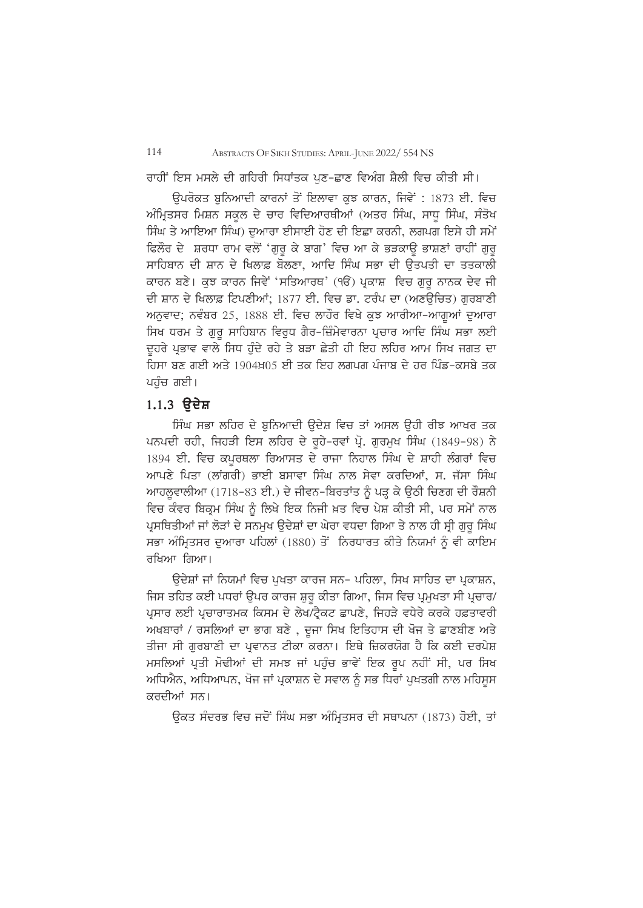ਰਾਹੀਂ ਇਸ ਮਸਲੇ ਦੀ ਗਹਿਰੀ ਸਿਧਾਂਤਕ ਪਣ-ਛਾਣ ਵਿਅੰਗ ਸ਼ੈਲੀ ਵਿਚ ਕੀਤੀ ਸੀ।

ਉਪਰੋਕਤ ਬਨਿਆਦੀ ਕਾਰਨਾਂ ਤੋਂ ਇਲਾਵਾ ਕੁਝ ਕਾਰਨ, ਜਿਵੇਂ : 1873 ਈ. ਵਿਚ ਅੰਮਿਤਸਰ ਮਿਸ਼ਨ ਸਕਲ ਦੇ ਚਾਰ ਵਿਦਿਆਰਥੀਆਂ (ਅਤਰ ਸਿੰਘ, ਸਾਧ ਸਿੰਘ, ਸੰਤੋਖ ਸਿੰਘ ਤੇ ਆਇਆ ਸਿੰਘ) ਦੁਆਰਾ ਈਸਾਈ ਹੋਣ ਦੀ ਇਛਾ ਕਰਨੀ, ਲਗਪਗ ਇਸੇ ਹੀ ਸਮੇਂ ਫਿਲੌਰ ਦੇ ਸ਼ਰਧਾ ਰਾਮ ਵਲੋਂ 'ਗੁਰੂ ਕੇ ਬਾਗ' ਵਿਚ ਆ ਕੇ ਭੜਕਾਉ ਭਾਸ਼ਣਾਂ ਰਾਹੀਂ ਗੁਰੂ ਸਾਹਿਬਾਨ ਦੀ ਸ਼ਾਨ ਦੇ ਖਿਲਾਫ਼ ਬੋਲਣਾ, ਆਦਿ ਸਿੰਘ ਸਭਾ ਦੀ ਉਤਪਤੀ ਦਾ ਤਤਕਾਲੀ ਕਾਰਨ ਬਣੇ। ਕਝ ਕਾਰਨ ਜਿਵੇਂ 'ਸਤਿਆਰਥ' (ੴ) ਪ੍ਰਕਾਸ਼ ਵਿਚ ਗਰ ਨਾਨਕ ਦੇਵ ਜੀ ਦੀ ਸ਼ਾਨ ਦੇ ਖਿਲਾਫ਼ ਟਿਪਣੀਆਂ: 1877 ਈ. ਵਿਚ ਡਾ. ਟਰੰਪ ਦਾ (ਅਣੳਚਿਤ) ਗਰਬਾਣੀ ਅਨਵਾਦ; ਨਵੰਬਰ 25, 1888 ਈ. ਵਿਚ ਲਾਹੌਰ ਵਿਖੇ ਕੁਝ ਆਰੀਆ-ਆਗੂਆਂ ਦੁਆਰਾ ਸਿਖ ਧਰਮ ਤੇ ਗੁਰੂ ਸਾਹਿਬਾਨ ਵਿਰੁਧ ਗੈਰ-ਜ਼ਿੰਮੇਵਾਰਨਾ ਪ੍ਰਚਾਰ ਆਦਿ ਸਿੰਘ ਸਭਾ ਲਈ ਦਹਰੇ ਪਭਾਵ ਵਾਲੇ ਸਿਧ ਹੰਦੇ ਰਹੇ ਤੇ ਬੜਾ ਛੇਤੀ ਹੀ ਇਹ ਲਹਿਰ ਆਮ ਸਿਖ ਜਗਤ ਦਾ ਹਿਸਾ ਬਣ ਗਈ ਅਤੇ 1904ਖ਼05 ਈ ਤਕ ਇਹ ਲਗਪਗ ਪੰਜਾਬ ਦੇ ਹਰ ਪਿੰਡ-ਕਸਬੇ ਤਕ ਪਹੁੰਚ ਗਈ।

## $1.1.3$  ੳਦੇਸ਼

ਸਿੰਘ ਸਭਾ ਲਹਿਰ ਦੇ ਬਨਿਆਦੀ ੳਦੇਸ਼ ਵਿਚ ਤਾਂ ਅਸਲ ੳਹੀ ਰੀਝ ਆਖਰ ਤਕ ਪਨਪਦੀ ਰਹੀ, ਜਿਹੜੀ ਇਸ ਲਹਿਰ ਦੇ ਰੂਹੇ-ਰਵਾਂ ਪ੍ਰੋ. ਗੁਰਮੁਖ ਸਿੰਘ (1849-98) ਨੇ 1894 ਈ. ਵਿਚ ਕਪਰਥਲਾ ਰਿਆਸਤ ਦੇ ਰਾਜਾ ਨਿਹਾਲ ਸਿੰਘ ਦੇ ਸ਼ਾਹੀ ਲੰਗਰਾਂ ਵਿਚ ਆਪਣੇ ਪਿਤਾ (ਲਾਂਗਰੀ) ਭਾਈ ਬਸਾਵਾ ਸਿੰਘ ਨਾਲ ਸੇਵਾ ਕਰਦਿਆਂ, ਸ. ਜੱਸਾ ਸਿੰਘ ਆਹਲਵਾਲੀਆ (1718-83 ਈ.) ਦੇ ਜੀਵਨ-ਬਿਰਤਾਂਤ ਨੂੰ ਪੜ ਕੇ ਉਠੀ ਚਿਣਗ ਦੀ ਰੌਸ਼ਨੀ ਵਿਚ ਕੰਵਰ ਬਿਕੁਮ ਸਿੰਘ ਨੂੰ ਲਿਖੇ ਇਕ ਨਿਜੀ ਖ਼ਤ ਵਿਚ ਪੇਸ਼ ਕੀਤੀ ਸੀ, ਪਰ ਸਮੇਂ ਨਾਲ ਪਸਥਿਤੀਆਂ ਜਾਂ ਲੋੜਾਂ ਦੇ ਸਨਮਖ ੳਦੇਸ਼ਾਂ ਦਾ ਘੇਰਾ ਵਧਦਾ ਗਿਆ ਤੇ ਨਾਲ ਹੀ ਸੀ ਗਰ ਸਿੰਘ ਸਭਾ ਅੰਮਿਤਸਰ ਦਆਰਾ ਪਹਿਲਾਂ (1880) ਤੋਂ ਨਿਰਧਾਰਤ ਕੀਤੇ ਨਿਯਮਾਂ ਨੂੰ ਵੀ ਕਾਇਮ ਰਖਿਆ ਗਿਆ।

ਉਦੇਸ਼ਾਂ ਜਾਂ ਨਿਯਮਾਂ ਵਿਚ ਪਖਤਾ ਕਾਰਜ ਸਨ- ਪਹਿਲਾ, ਸਿਖ ਸਾਹਿਤ ਦਾ ਪਕਾਸ਼ਨ, ਜਿਸ ਤਹਿਤ ਕਈ ਪਧਰਾਂ ੳਪਰ ਕਾਰਜ ਸ਼ਰ ਕੀਤਾ ਗਿਆ, ਜਿਸ ਵਿਚ ਪੁਮਖਤਾ ਸੀ ਪੁਚਾਰ/ ਪਸਾਰ ਲਈ ਪਚਾਰਾਤਮਕ ਕਿਸਮ ਦੇ ਲੇਖ/ਟੈਕਟ ਛਾਪਣੇ, ਜਿਹੜੇ ਵਧੇਰੇ ਕਰਕੇ ਹਫ਼ਤਾਵਰੀ ਅਖਬਾਰਾਂ / ਰਸਲਿਆਂ ਦਾ ਭਾਗ ਬਣੇ , ਦੂਜਾ ਸਿਖ ਇਤਿਹਾਸ ਦੀ ਖੋਜ ਤੇ ਛਾਣਬੀਣ ਅਤੇ ਤੀਜਾ ਸੀ ਗਰਬਾਣੀ ਦਾ ਪ੍ਰਵਾਨਤ ਟੀਕਾ ਕਰਨਾ। ਇਥੇ ਜ਼ਿਕਰਯੋਗ ਹੈ ਕਿ ਕਈ ਦਰਪੇਸ਼ ਮਸਲਿਆਂ ਪਤੀ ਮੋਢੀਆਂ ਦੀ ਸਮਝ ਜਾਂ ਪਹੰਚ ਭਾਵੇਂ ਇਕ ਰਪ ਨਹੀਂ ਸੀ, ਪਰ ਸਿਖ ਅਧਿਐਨ, ਅਧਿਆਪਨ, ਖੋਜ ਜਾਂ ਪੁਕਾਸ਼ਨ ਦੇ ਸਵਾਲ ਨੂੰ ਸਭ ਧਿਰਾਂ ਪਖਤਗੀ ਨਾਲ ਮਹਿਸਸ ਕਰਦੀਆਂ ਸਨ।

ਓਕਤ ਸੰਦਰਭ ਵਿਚ ਜਦੋਂ ਸਿੰਘ ਸਭਾ ਅੰਮਿਤਸਰ ਦੀ ਸਥਾਪਨਾ (1873) ਹੋਈ, ਤਾਂ